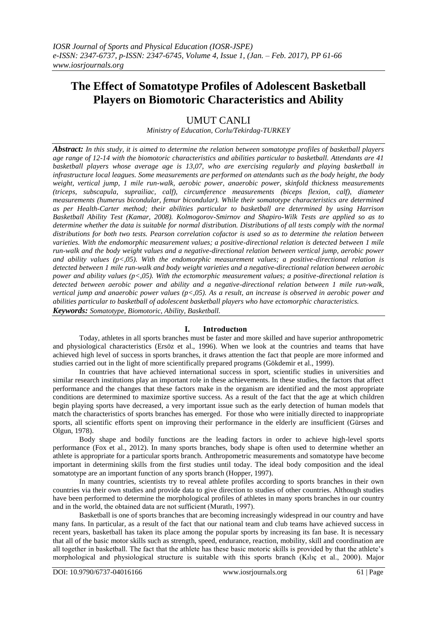# **The Effect of Somatotype Profiles of Adolescent Basketball Players on Biomotoric Characteristics and Ability**

# UMUT CANLI

*Ministry of Education, Corlu/Tekirdag-TURKEY*

*Abstract: In this study, it is aimed to determine the relation between somatotype profiles of basketball players age range of 12-14 with the biomotoric characteristics and abilities particular to basketball. Attendants are 41 basketball players whose average age is 13,07, who are exercising regularly and playing basketball in infrastructure local leagues. Some measurements are performed on attendants such as the body height, the body weight, vertical jump, 1 mile run-walk, aerobic power, anaerobic power, skinfold thickness measurements (triceps, subscapula, suprailiac, calf), circumference measurements (biceps flexion, calf), diameter measurements (humerus bicondular, femur bicondular). While their somatotype characteristics are determined as per Health-Carter method; their abilities particular to basketball are determined by using Harrison Basketball Ability Test (Kamar, 2008). Kolmogorov-Smirnov and Shapiro-Wilk Tests are applied so as to determine whether the data is suitable for normal distribution. Distributions of all tests comply with the normal distributions for both two tests. Pearson correlation cofactor is used so as to determine the relation between varieties. With the endomorphic measurement values; a positive-directional relation is detected between 1 mile run-walk and the body weight values and a negative-directional relation between vertical jump, aerobic power and ability values (p<,05). With the endomorphic measurement values; a positive-directional relation is detected between 1 mile run-walk and body weight varieties and a negative-directional relation between aerobic power and ability values (p<,05). With the ectomorphic measurement values; a positive-directional relation is detected between aerobic power and ability and a negative-directional relation between 1 mile run-walk, vertical jump and anaerobic power values (p<,05). As a result, an increase is observed in aerobic power and abilities particular to basketball of adolescent basketball players who have ectomorphic characteristics. Keywords: Somatotype, Biomotoric, Ability, Basketball.*

# **I. Introductıon**

Today, athletes in all sports branches must be faster and more skilled and have superior anthropometric and physiological characteristics (Ersöz et al., 1996). When we look at the countries and teams that have achieved high level of success in sports branches, it draws attention the fact that people are more informed and studies carried out in the light of more scientifically prepared programs (Gökdemir et al., 1999).

In countries that have achieved international success in sport, scientific studies in universities and similar research institutions play an important role in these achievements. In these studies, the factors that affect performance and the changes that these factors make in the organism are identified and the most appropriate conditions are determined to maximize sportive success. As a result of the fact that the age at which children begin playing sports have decreased, a very important issue such as the early detection of human models that match the characteristics of sports branches has emerged. For those who were initially directed to inappropriate sports, all scientific efforts spent on improving their performance in the elderly are insufficient (Gürses and Olgun, 1978).

Body shape and bodily functions are the leading factors in order to achieve high-level sports performance (Fox et al., 2012). In many sports branches, body shape is often used to determine whether an athlete is appropriate for a particular sports branch. Anthropometric measurements and somatotype have become important in determining skills from the first studies until today. The ideal body composition and the ideal somatotype are an important function of any sports branch (Hopper, 1997).

In many countries, scientists try to reveal athlete profiles according to sports branches in their own countries via their own studies and provide data to give direction to studies of other countries. Although studies have been performed to determine the morphological profiles of athletes in many sports branches in our country and in the world, the obtained data are not sufficient (Muratlı, 1997).

Basketball is one of sports branches that are becoming increasingly widespread in our country and have many fans. In particular, as a result of the fact that our national team and club teams have achieved success in recent years, basketball has taken its place among the popular sports by increasing its fan base. It is necessary that all of the basic motor skills such as strength, speed, endurance, reaction, mobility, skill and coordination are all together in basketball. The fact that the athlete has these basic motoric skills is provided by that the athlete's morphological and physiological structure is suitable with this sports branch (Kılıç et al., 2000). Major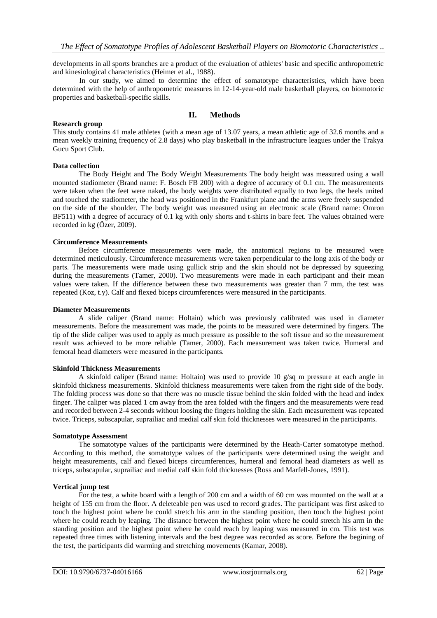developments in all sports branches are a product of the evaluation of athletes' basic and specific anthropometric and kinesiological characteristics (Heimer et al., 1988).

In our study, we aimed to determine the effect of somatotype characteristics, which have been determined with the help of anthropometric measures in 12-14-year-old male basketball players, on biomotoric properties and basketball-specific skills.

# **II. Methods**

## **Research group**

This study contains 41 male athletes (with a mean age of 13.07 years, a mean athletic age of 32.6 months and a mean weekly training frequency of 2.8 days) who play basketball in the infrastructure leagues under the Trakya Gucu Sport Club.

## **Data collection**

The Body Height and The Body Weight Measurements The body height was measured using a wall mounted stadiometer (Brand name: F. Bosch FB 200) with a degree of accuracy of 0.1 cm. The measurements were taken when the feet were naked, the body weights were distributed equally to two legs, the heels united and touched the stadiometer, the head was positioned in the Frankfurt plane and the arms were freely suspended on the side of the shoulder. The body weight was measured using an electronic scale (Brand name: Omron BF511) with a degree of accuracy of 0.1 kg with only shorts and t-shirts in bare feet. The values obtained were recorded in kg (Özer, 2009).

# **Circumference Measurements**

Before circumference measurements were made, the anatomical regions to be measured were determined meticulously. Circumference measurements were taken perpendicular to the long axis of the body or parts. The measurements were made using gullick strip and the skin should not be depressed by squeezing during the measurements (Tamer, 2000). Two measurements were made in each participant and their mean values were taken. If the difference between these two measurements was greater than 7 mm, the test was repeated (Koz, t.y). Calf and flexed biceps circumferences were measured in the participants.

#### **Diameter Measurements**

A slide caliper (Brand name: Holtain) which was previously calibrated was used in diameter measurements. Before the measurement was made, the points to be measured were determined by fingers. The tip of the slide caliper was used to apply as much pressure as possible to the soft tissue and so the measurement result was achieved to be more reliable (Tamer, 2000). Each measurement was taken twice. Humeral and femoral head diameters were measured in the participants.

#### **Skinfold Thickness Measurements**

A skinfold caliper (Brand name: Holtain) was used to provide 10  $g/sq$  m pressure at each angle in skinfold thickness measurements. Skinfold thickness measurements were taken from the right side of the body. The folding process was done so that there was no muscle tissue behind the skin folded with the head and index finger. The caliper was placed 1 cm away from the area folded with the fingers and the measurements were read and recorded between 2-4 seconds without loosing the fingers holding the skin. Each measurement was repeated twice. Triceps, subscapular, suprailiac and medial calf skin fold thicknesses were measured in the participants.

#### **Somatotype Assessment**

The somatotype values of the participants were determined by the Heath-Carter somatotype method. According to this method, the somatotype values of the participants were determined using the weight and height measurements, calf and flexed biceps circumferences, humeral and femoral head diameters as well as triceps, subscapular, suprailiac and medial calf skin fold thicknesses (Ross and Marfell-Jones, 1991).

#### **Vertical jump test**

For the test, a white board with a length of 200 cm and a width of 60 cm was mounted on the wall at a height of 155 cm from the floor. A deleteable pen was used to record grades. The participant was first asked to touch the highest point where he could stretch his arm in the standing position, then touch the highest point where he could reach by leaping. The distance between the highest point where he could stretch his arm in the standing position and the highest point where he could reach by leaping was measured in cm. This test was repeated three times with listening intervals and the best degree was recorded as score. Before the begining of the test, the participants did warming and stretching movements (Kamar, 2008).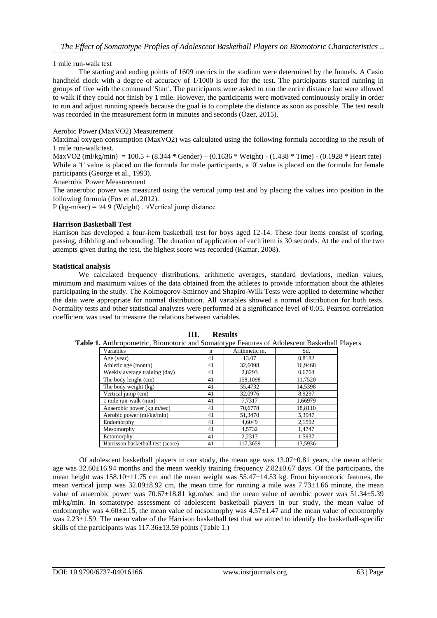# 1 mile run-walk test

The starting and ending points of 1609 metrics in the stadium were determined by the funnels. A Casio handheld clock with a degree of accuracy of 1/1000 is used for the test. The participants started running in groups of five with the command 'Start'. The participants were asked to run the entire distance but were allowed to walk if they could not finish by 1 mile. However, the participants were motivated continuously orally in order to run and adjust running speeds because the goal is to complete the distance as soon as possible. The test result was recorded in the measurement form in minutes and seconds (Özer, 2015).

# Aerobic Power (MaxVO2) Measurement

Maximal oxygen consumption (MaxVO2) was calculated using the following formula according to the result of 1 mile run-walk test.

MaxVO2 (ml/kg/min) =  $100.5 + (8.344 * \text{Gender}) - (0.1636 * \text{Weight}) - (1.438 * \text{Time}) - (0.1928 * \text{Heart rate})$ While a '1' value is placed on the formula for male participants, a '0' value is placed on the formula for female participants (George et al., 1993).

Anaerobic Power Measurement

The anaerobic power was measured using the vertical jump test and by placing the values into position in the following formula (Fox et al.,2012).

P (kg-m/sec) =  $\sqrt{4.9}$  (Weight).  $\sqrt{\text{Vertical}}$  jump distance

# **Harrison Basketball Test**

Harrison has developed a four-item basketball test for boys aged 12-14. These four items consist of scoring, passing, dribbling and rebounding. The duration of application of each item is 30 seconds. At the end of the two attempts given during the test, the highest score was recorded (Kamar, 2008).

# **Statistical analysis**

We calculated frequency distributions, arithmetic averages, standard deviations, median values, minimum and maximum values of the data obtained from the athletes to provide information about the athletes participating in the study. The Kolmogorov-Smirnov and Shapiro-Wilk Tests were applied to determine whether the data were appropriate for normal distribution. All variables showed a normal distribution for both tests. Normality tests and other statistical analyzes were performed at a significance level of 0.05. Pearson correlation coefficient was used to measure the relations between variables.

| <b>1.</b> Anthropometric, Biomotoric and Somatotype Features of Adolescent Basketball F |    |               |         |  |
|-----------------------------------------------------------------------------------------|----|---------------|---------|--|
| Variables                                                                               | n  | Arithmetic m. | Sd.     |  |
| Age (year)                                                                              | 41 | 13.07         | 0,8182  |  |
| Athletic age (month)                                                                    | 41 | 32,6098       | 16,9468 |  |
| Weekly average training (day)                                                           | 41 | 2.8293        | 0,6764  |  |
| The body lenght (cm)                                                                    | 41 | 158,1098      | 11,7520 |  |
| The body weight (kg)                                                                    | 41 | 55,4732       | 14,5398 |  |
| Vertical jump (cm)                                                                      | 41 | 32,0976       | 8,9297  |  |
| 1 mile run-walk (min)                                                                   | 41 | 7,7317        | 1.66979 |  |
| Anaerobic power (kg.m/sec)                                                              | 41 | 70,6778       | 18,8110 |  |
| Aerobic power (ml/kg/min)                                                               | 41 | 51,3470       | 5,3947  |  |
| Endomorphy                                                                              | 41 | 4.6049        | 2,1592  |  |
| Mesomorphy                                                                              | 41 | 4.5732        | 1.4747  |  |
| Ectomorphy                                                                              | 41 | 2.2317        | 1.5937  |  |
| Harrisson basketball test (score)                                                       | 41 | 117.3659      | 13.5936 |  |

**III. Results**

**Table 1.** Anthropometric, Biomotoric and Somatotype Features of Adolescent Basketball Players

Of adolescent basketball players in our study, the mean age was  $13.07\pm0.81$  years, the mean athletic age was 32.60±16.94 months and the mean weekly training frequency 2.82±0.67 days. Of the participants, the mean height was 158.10±11.75 cm and the mean weight was 55.47±14.53 kg. From biyomotoric features, the mean vertical jump was  $32.09\pm8.92$  cm, the mean time for running a mile was  $7.73\pm1.66$  minute, the mean value of anaerobic power was  $70.67\pm18.81$  kg.m/sec and the mean value of aerobic power was  $51.34\pm5.39$ ml/kg/min. In somatotype assessment of adolescent basketball players in our study, the mean value of endomorphy was  $4.60\pm2.15$ , the mean value of mesomorphy was  $4.57\pm1.47$  and the mean value of ectomorphy was 2.23 $\pm$ 1.59. The mean value of the Harrison basketball test that we aimed to identify the basketball-specific skills of the participants was  $117.36\pm13.59$  points (Table 1.)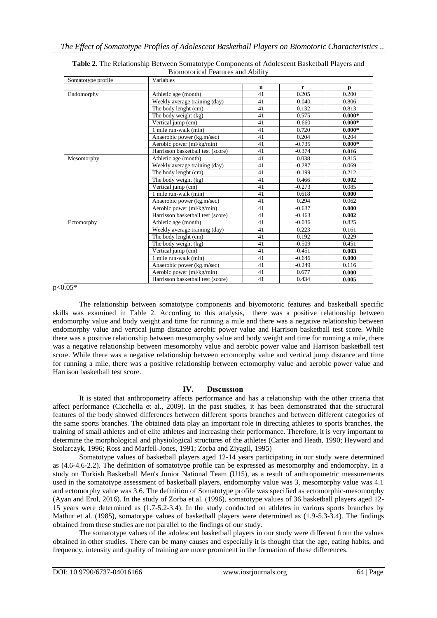| Somatotype profile | Variables                         |             |              |              |
|--------------------|-----------------------------------|-------------|--------------|--------------|
|                    |                                   | $\mathbf n$ | $\mathbf{r}$ | $\mathbf{p}$ |
| Endomorphy         | Athletic age (month)              | 41          | 0.205        | 0.200        |
|                    | Weekly average training (day)     | 41          | $-0.040$     | 0.806        |
|                    | The body lenght (cm)              | 41          | 0.132        | 0.813        |
|                    | The body weight (kg)              | 41          | 0.575        | $0.000*$     |
|                    | Vertical jump (cm)                | 41          | $-0.660$     | $0.000*$     |
|                    | 1 mile run-walk (min)             | 41          | 0.720        | $0.000*$     |
|                    | Anaerobic power (kg.m/sec)        | 41          | 0.204        | 0.204        |
|                    | Aerobic power (ml/kg/min)         | 41          | $-0.735$     | $0.000*$     |
|                    | Harrisson basketball test (score) | 41          | $-0.374$     | 0.016        |
| Mesomorphy         | Athletic age (month)              | 41          | 0.038        | 0.815        |
|                    | Weekly average training (day)     | 41          | $-0.287$     | 0.069        |
|                    | The body lenght (cm)              | 41          | $-0.199$     | 0.212        |
|                    | The body weight (kg)              | 41          | 0.466        | 0.002        |
|                    | Vertical jump (cm)                | 41          | $-0.273$     | 0.085        |
|                    | 1 mile run-walk (min)             | 41          | 0.618        | 0.000        |
|                    | Anaerobic power (kg.m/sec)        | 41          | 0.294        | 0.062        |
|                    | Aerobic power (ml/kg/min)         | 41          | $-0.637$     | 0.000        |
|                    | Harrisson basketball test (score) | 41          | $-0.463$     | 0.002        |
| Ectomorphy         | Athletic age (month)              | 41          | $-0.036$     | 0.825        |
|                    | Weekly average training (day)     | 41          | 0.223        | 0.161        |
|                    | The body lenght (cm)              | 41          | 0.192        | 0.229        |
|                    | The body weight (kg)              | 41          | $-0.509$     | 0.451        |
|                    | Vertical jump (cm)                | 41          | $-0.451$     | 0.003        |
|                    | 1 mile run-walk (min)             | 41          | $-0.646$     | 0.000        |
|                    | Anaerobic power (kg.m/sec)        | 41          | $-0.249$     | 0.116        |
|                    | Aerobic power (ml/kg/min)         | 41          | 0.677        | 0.000        |
|                    | Harrisson basketball test (score) | 41          | 0.434        | 0.005        |

| Table 2. The Relationship Between Somatotype Components of Adolescent Basketball Players and |
|----------------------------------------------------------------------------------------------|
| <b>Biomotorical Features and Ability</b>                                                     |

 $p < 0.05*$ 

The relationship between somatotype components and biyomotoric features and basketball specific skills was examined in Table 2. According to this analysis, there was a positive relationship between endomorphy value and body weight and time for running a mile and there was a negative relationship between endomorphy value and vertical jump distance aerobic power value and Harrison basketball test score. While there was a positive relationship between mesomorphy value and body weight and time for running a mile, there was a negative relationship between mesomorphy value and aerobic power value and Harrison basketball test score. While there was a negative relationship between ectomorphy value and vertical jump distance and time for running a mile, there was a positive relationship between ectomorphy value and aerobic power value and Harrison basketball test score.

# **IV. Dıscussıon**

It is stated that anthropometry affects performance and has a relationship with the other criteria that affect performance (Cicchella et al., 2009). In the past studies, it has been demonstrated that the structural features of the body showed differences between different sports branches and between different categories of the same sports branches. The obtained data play an important role in directing athletes to sports branches, the training of small athletes and of elite athletes and increasing their performance. Therefore, it is very important to determine the morphological and physiological structures of the athletes (Carter and Heath, 1990; Heyward and Stolarczyk, 1996; Ross and Marfell-Jones, 1991; Zorba and Ziyagil, 1995)

Somatotype values of basketball players aged 12-14 years participating in our study were determined as (4.6-4.6-2.2). The definition of somatotype profile can be expressed as mesomorphy and endomorphy. In a study on Turkish Basketball Men's Junior National Team (U15), as a result of anthropometric measurements used in the somatotype assessment of basketball players, endomorphy value was 3, mesomorphy value was 4.1 and ectomorphy value was 3.6. The definition of Somatotype profile was specified as ectomorphic-mesomorphy (Ayan and Erol, 2016). In the study of Zorba et al. (1996), somatotype values of 36 basketball players aged 12- 15 years were determined as (1.7-5.2-3.4). In the study conducted on athletes in various sports branches by Mathur et al. (1985), somatotype values of basketball players were determined as (1.9-5.3-3.4). The findings obtained from these studies are not parallel to the findings of our study.

The somatotype values of the adolescent basketball players in our study were different from the values obtained in other studies. There can be many causes and especially it is thought that the age, eating habits, and frequency, intensity and quality of training are more prominent in the formation of these differences.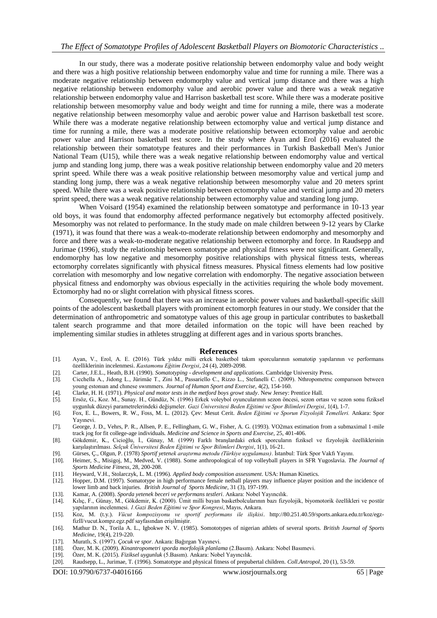# *The Effect of Somatotype Profiles of Adolescent Basketball Players on Biomotoric Characteristics ..*

In our study, there was a moderate positive relationship between endomorphy value and body weight and there was a high positive relationship between endomorphy value and time for running a mile. There was a moderate negative relationship between endomorphy value and vertical jump distance and there was a high negative relationship between endomorphy value and aerobic power value and there was a weak negative relationship between endomorphy value and Harrison basketball test score. While there was a moderate positive relationship between mesomorphy value and body weight and time for running a mile, there was a moderate negative relationship between mesomorphy value and aerobic power value and Harrison basketball test score. While there was a moderate negative relationship between ectomorphy value and vertical jump distance and time for running a mile, there was a moderate positive relationship between ectomorphy value and aerobic power value and Harrison basketball test score. In the study where Ayan and Erol (2016) evaluated the relationship between their somatotype features and their performances in Turkish Basketball Men's Junior National Team (U15), while there was a weak negative relationship between endomorphy value and vertical jump and standing long jump, there was a weak positive relationship between endomorphy value and 20 meters sprint speed. While there was a weak positive relationship between mesomorphy value and vertical jump and standing long jump, there was a weak negative relationship between mesomorphy value and 20 meters sprint speed. While there was a weak positive relationship between ectomorphy value and vertical jump and 20 meters sprint speed, there was a weak negative relationship between ectomorphy value and standing long jump.

When Voisard (1954) examined the relationship between somatotype and performance in 10-13 year old boys, it was found that endomorphy affected performance negatively but ectomorphy affected positively. Mesomorphy was not related to performance. In the study made on male children between 9-12 years by Clarke (1971), it was found that there was a weak-to-moderate relationship between endomorphy and mesomorphy and force and there was a weak-to-moderate negative relationship between ectomorphy and force. In Raudsepp and Jurimae (1996), study the relationship between somatotype and physical fitness were not significant. Generally, endomorphy has low negative and mesomorphy positive relationships with physical fitness tests, whereas ectomorphy correlates significantly with physical fitness measures. Physical fitness elements had low positive correlation with mesomorphy and low negative correlation with endomorphy. The negative association between physical fitness and endomorphy was obvious especially in the activities requiring the whole body movement. Ectomorphy had no or slight correlation with physical fitness scores.

Consequently, we found that there was an increase in aerobic power values and basketball-specific skill points of the adolescent basketball players with prominent ectomorph features in our study. We consider that the determination of anthropometric and somatotype values of this age group in particular contributes to basketball talent search programme and that more detailed information on the topic will have been reached by implementing similar studies in athletes struggling at different ages and in various sports branches.

#### **References**

- [1]. Ayan, V., Erol, A. E. (2016). Türk yıldız milli erkek basketbol takım sporcularının somatotip yapılarının ve performans özelliklerinin incelenmesi. *Kastamonu Eğitim Dergisi*, 24 (4), 2089-2098.
- [2]. Carter, J.E.L., Heath, B.H. (1990). *Somatotyping - development and applications*. Cambridge University Press.
- [3]. Cicchella A., Jidong L., Jürimäe T., Zini M., Passariello C., Rizzo L., Stefanelli C. (2009). Nthropometrıc comparıson between young estonıan and chınese swımmers. *Journal of Human Sport and Exercise*, 4(2), 154-160.
- 
- [4]. Clarke, H. H. (1971). *Physical and motor tests in the metford boys growt study*. New Jersey: Prentice Hall. [5]. Ersöz, G., Koz. M., Sunay. H., Gündüz, N. (1996) Erkek voleybol oyuncularının sezon öncesi, sezon ortası ve sezon sonu fiziksel uygunluk düzeyi parametrelerindeki değişmeler. *Gazi Üniversitesi Beden Eğitimi ve Spor Bilimleri Dergisi*, 1(4), 1-7.
- [6]. Fox, E. L., Bowers, R. W., Foss, M. L. (2012). Çev: Mesut Cerit. *Beden Eğitimi ve Sporun Fizyolojik Temelleri.* Ankara: Spor Yayınevi.
- [7]. George, J. D., Vehrs, P. R., Allsen, P. E., Fellingham, G. W., Fisher, A. G. (1993). VO2max estimation from a submaximal 1-mile track jog for fit college-age individuals*. Medicine and Science in Sports and Exercise*, 25, 401-406.
- [8]. Gökdemir, K., Cicioğlu, İ., Günay, M. (1999) Farklı branşlardaki erkek sporcuların fiziksel ve fizyolojik özelliklerinin karşılaştırılması. *Selçuk Üniversitesi Beden Eğitimi ve Spor Bilimleri Dergisi*, 1(1), 16-21.
- [9]. Gürses, Ç., Olgun, P. (1978) *Sportif yetenek araştırma metodu (Türkiye uygulaması)*. İstanbul: Türk Spor Vakfı Yayını.
- Heimer, S., Misigoj, M., Medved, V. (1988). Some anthropological of top volleyball players in SFR Yugoslavia. *The Journal of Sports Medicine Fitness*, 28, 200-208.
- [11]. Heyward, V.H., Stolarczyk, L. M. (1996). *Applied body composition assessment*. USA: Human Kinetics.
- [12]. Hopper, D.M. (1997). Somatotype in high performance female netball players may influence player position and the incidence of lower limb and back injuries. *British Journal of Sports Medicine*, 31 (3), 197-199.
- 
- [13]. Kamar, A. (2008). *Sporda yetenek beceri ve performans testleri*. Ankara: Nobel Yayıncılık. [14]. Kılıç, F., Günay, M., Gökdemir, K. (2000). Ümit milli bayan basketbolcularının bazı fizyolojik, biyomotorik özellikleri ve postür yapılarının incelenmesi. *1.Gazi Beden Eğitimi ve Spor Kongresi*, Mayıs, Ankara.
- [15]. Koz, M. (t.y.). *Vücut kompozisyonu ve sportif performans ile ilişkisi*. http://80.251.40.59/sports.ankara.edu.tr/koz/egzfizII/vucut.kompz.egz.pdf sayfasından erişilmiştir.
- [16]. Mathur D. N., Torila A. L., Igbokwe N. V. (1985). Somototypes of nigerian athlets of several sports. *British Journal of Sports Medicine*, 19(4), 219-220.
- [17]. Muratlı, S. (1997). *Çocuk ve spor*. Ankara: Bağırgan Yayınevi.
- [18]. Özer, M. K. (2009). *Kinantropometri sporda morfolojik planlama* (2.Basım). Ankara: Nobel Basımevi.
- [19]. Özer, M. K. (2015). *Fiziksel uygunluk* (5.Basım). Ankara: Nobel Yayıncılık.
- [20]. Raudsepp, L., Jurimae, T. (1996). Somatotype and physical fitness of prepubertal children. *Coll.Antropol*, 20 (1), 53-59.